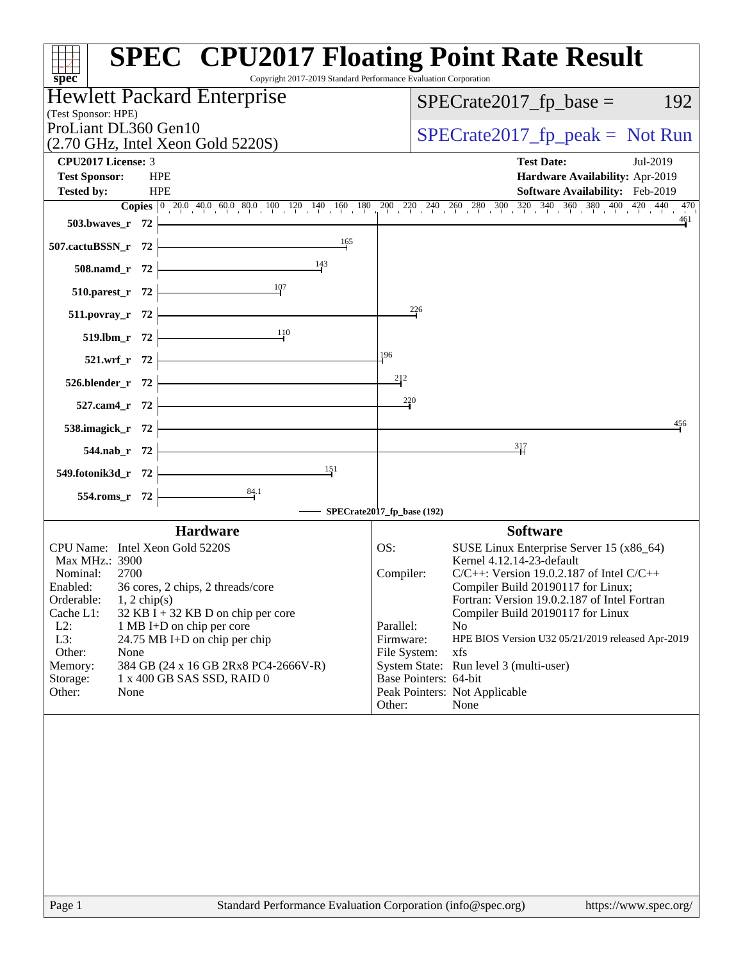| $spec^*$                                                                               | <b>SPEC<sup>®</sup> CPU2017 Floating Point Rate Result</b><br>Copyright 2017-2019 Standard Performance Evaluation Corporation                                                     |
|----------------------------------------------------------------------------------------|-----------------------------------------------------------------------------------------------------------------------------------------------------------------------------------|
| <b>Hewlett Packard Enterprise</b>                                                      | $SPECrate2017_fp\_base =$<br>192                                                                                                                                                  |
| (Test Sponsor: HPE)                                                                    |                                                                                                                                                                                   |
| ProLiant DL360 Gen10                                                                   | $SPECrate2017_fp\_peak = Not Run$                                                                                                                                                 |
| $(2.70 \text{ GHz}, \text{Intel Xeon Gold } 5220\text{S})$<br>CPU2017 License: 3       | <b>Test Date:</b><br>Jul-2019                                                                                                                                                     |
| <b>Test Sponsor:</b><br><b>HPE</b>                                                     | Hardware Availability: Apr-2019                                                                                                                                                   |
| <b>HPE</b><br><b>Tested by:</b>                                                        | <b>Software Availability:</b> Feb-2019                                                                                                                                            |
|                                                                                        | <b>Copies</b> $\begin{bmatrix} 0 & 20.0 & 40.0 & 60.0 & 80.0 & 100 & 120 & 140 & 160 & 180 & 200 & 240 & 260 & 280 & 300 & 320 & 340 & 360 & 380 & 400 & 420 & 470 \end{bmatrix}$ |
| 503.bwaves_r 72                                                                        | 461                                                                                                                                                                               |
| 165<br><u> 1989 - Johann Barn, fransk politik (</u><br>507.cactuBSSN_r 72              |                                                                                                                                                                                   |
| $\frac{143}{1}$<br>508.namd_r 72                                                       |                                                                                                                                                                                   |
| $\frac{107}{2}$<br>510.parest_r 72                                                     |                                                                                                                                                                                   |
| 511.povray_r 72                                                                        | $^{226}$                                                                                                                                                                          |
| 110                                                                                    |                                                                                                                                                                                   |
| $519.1 \text{bm}_r$ 72                                                                 | 196                                                                                                                                                                               |
| $521.wrf_r 72$                                                                         |                                                                                                                                                                                   |
| $526.blender_r 72$                                                                     | 212                                                                                                                                                                               |
| <u> 1989 - Johann Barn, mars ann an t-A</u><br>$527$ .cam4_r 72                        | 220                                                                                                                                                                               |
| 538.imagick_r $72$                                                                     | 456                                                                                                                                                                               |
| 544.nab_r 72                                                                           | $\frac{317}{1}$                                                                                                                                                                   |
| <u> 1989 - Johann Barn, mars eta bainar eta idazlea (</u><br>151<br>549.fotonik3d_r 72 |                                                                                                                                                                                   |
| $\frac{84.1}{ }$<br>$554$ .roms_r 72                                                   |                                                                                                                                                                                   |
|                                                                                        | SPECrate2017_fp_base (192)                                                                                                                                                        |
| <b>Hardware</b>                                                                        | <b>Software</b>                                                                                                                                                                   |
| CPU Name: Intel Xeon Gold 5220S                                                        | SUSE Linux Enterprise Server 15 (x86_64)<br>OS:                                                                                                                                   |
| Max MHz.: 3900<br>Nominal:                                                             | Kernel 4.12.14-23-default<br>$C/C++$ : Version 19.0.2.187 of Intel $C/C++$                                                                                                        |
| 2700<br>Enabled:<br>36 cores, 2 chips, 2 threads/core                                  | Compiler:<br>Compiler Build 20190117 for Linux;                                                                                                                                   |
| Orderable:<br>$1, 2$ chip(s)                                                           | Fortran: Version 19.0.2.187 of Intel Fortran                                                                                                                                      |
| Cache L1:<br>$32$ KB I + 32 KB D on chip per core                                      | Compiler Build 20190117 for Linux                                                                                                                                                 |
| $L2$ :<br>1 MB I+D on chip per core<br>L3:<br>24.75 MB I+D on chip per chip            | Parallel:<br>No<br>HPE BIOS Version U32 05/21/2019 released Apr-2019<br>Firmware:                                                                                                 |
| Other:<br>None                                                                         | xfs<br>File System:                                                                                                                                                               |
| 384 GB (24 x 16 GB 2Rx8 PC4-2666V-R)<br>Memory:                                        | System State: Run level 3 (multi-user)                                                                                                                                            |
| Storage:<br>1 x 400 GB SAS SSD, RAID 0                                                 | Base Pointers: 64-bit                                                                                                                                                             |
| Other:<br>None                                                                         | Peak Pointers: Not Applicable<br>Other:<br>None                                                                                                                                   |
|                                                                                        |                                                                                                                                                                                   |
|                                                                                        |                                                                                                                                                                                   |
|                                                                                        |                                                                                                                                                                                   |
|                                                                                        |                                                                                                                                                                                   |
|                                                                                        |                                                                                                                                                                                   |
|                                                                                        |                                                                                                                                                                                   |
|                                                                                        |                                                                                                                                                                                   |
|                                                                                        |                                                                                                                                                                                   |
|                                                                                        |                                                                                                                                                                                   |
| Page 1                                                                                 | Standard Performance Evaluation Corporation (info@spec.org)<br>https://www.spec.org/                                                                                              |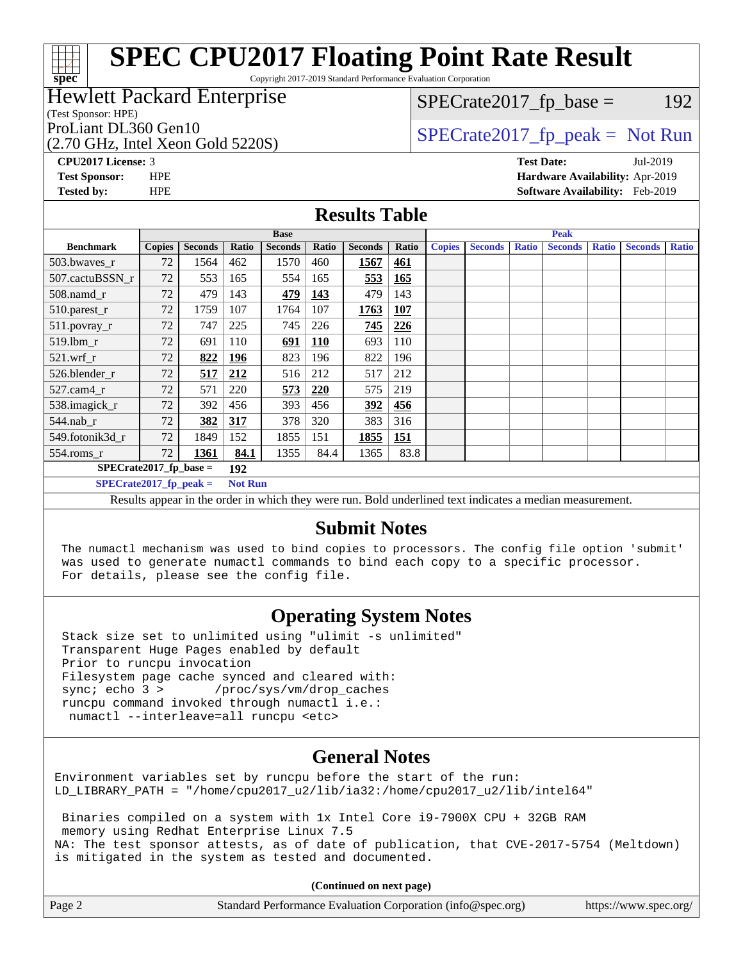Copyright 2017-2019 Standard Performance Evaluation Corporation

## Hewlett Packard Enterprise

(Test Sponsor: HPE)

**[spec](http://www.spec.org/)**

(2.70 GHz, Intel Xeon Gold 5220S) ProLiant DL360 Gen10  $SPECTA 5220S$   $SPIC 145220S$   $SPIC 145220S$ 

 $SPECTate2017<sub>fr</sub> base = 192$ 

**[CPU2017 License:](http://www.spec.org/auto/cpu2017/Docs/result-fields.html#CPU2017License)** 3 **[Test Date:](http://www.spec.org/auto/cpu2017/Docs/result-fields.html#TestDate)** Jul-2019 **[Test Sponsor:](http://www.spec.org/auto/cpu2017/Docs/result-fields.html#TestSponsor)** HPE **[Hardware Availability:](http://www.spec.org/auto/cpu2017/Docs/result-fields.html#HardwareAvailability)** Apr-2019 **[Tested by:](http://www.spec.org/auto/cpu2017/Docs/result-fields.html#Testedby)** HPE **[Software Availability:](http://www.spec.org/auto/cpu2017/Docs/result-fields.html#SoftwareAvailability)** Feb-2019

### **[Results Table](http://www.spec.org/auto/cpu2017/Docs/result-fields.html#ResultsTable)**

|                          | <b>Base</b>   |                |                |                |            |                | <b>Peak</b> |               |                |              |                |              |                |              |
|--------------------------|---------------|----------------|----------------|----------------|------------|----------------|-------------|---------------|----------------|--------------|----------------|--------------|----------------|--------------|
| <b>Benchmark</b>         | <b>Copies</b> | <b>Seconds</b> | Ratio          | <b>Seconds</b> | Ratio      | <b>Seconds</b> | Ratio       | <b>Copies</b> | <b>Seconds</b> | <b>Ratio</b> | <b>Seconds</b> | <b>Ratio</b> | <b>Seconds</b> | <b>Ratio</b> |
| 503.bwayes r             | 72            | 1564           | 462            | 1570           | 460        | 1567           | 461         |               |                |              |                |              |                |              |
| 507.cactuBSSN r          | 72            | 553            | 165            | 554            | 165        | 553            | 165         |               |                |              |                |              |                |              |
| $508$ .namd $r$          | 72            | 479            | 143            | 479            | 143        | 479            | 143         |               |                |              |                |              |                |              |
| 510.parest_r             | 72            | 1759           | 107            | 1764           | 107        | 1763           | 107         |               |                |              |                |              |                |              |
| 511.povray_r             | 72            | 747            | 225            | 745            | 226        | 745            | 226         |               |                |              |                |              |                |              |
| 519.lbm r                | 72            | 691            | 110            | 691            | <b>110</b> | 693            | 110         |               |                |              |                |              |                |              |
| $521$ .wrf r             | 72            | 822            | 196            | 823            | 196        | 822            | 196         |               |                |              |                |              |                |              |
| 526.blender r            | 72            | 517            | 212            | 516            | 212        | 517            | 212         |               |                |              |                |              |                |              |
| $527$ .cam $4r$          | 72            | 571            | 220            | 573            | 220        | 575            | 219         |               |                |              |                |              |                |              |
| 538.imagick_r            | 72            | 392            | 456            | 393            | 456        | <u>392</u>     | <b>456</b>  |               |                |              |                |              |                |              |
| 544.nab r                | 72            | 382            | 317            | 378            | 320        | 383            | 316         |               |                |              |                |              |                |              |
| 549.fotonik3d r          | 72            | 1849           | 152            | 1855           | 151        | 1855           | 151         |               |                |              |                |              |                |              |
| 554.roms r               | 72            | 1361           | 84.1           | 1355           | 84.4       | 1365           | 83.8        |               |                |              |                |              |                |              |
| $SPECrate2017$ fp base = |               |                | 192            |                |            |                |             |               |                |              |                |              |                |              |
| $SPECrate2017$ fp peak = |               |                | <b>Not Run</b> |                |            |                |             |               |                |              |                |              |                |              |

Results appear in the [order in which they were run.](http://www.spec.org/auto/cpu2017/Docs/result-fields.html#RunOrder) Bold underlined text [indicates a median measurement.](http://www.spec.org/auto/cpu2017/Docs/result-fields.html#Median)

### **[Submit Notes](http://www.spec.org/auto/cpu2017/Docs/result-fields.html#SubmitNotes)**

 The numactl mechanism was used to bind copies to processors. The config file option 'submit' was used to generate numactl commands to bind each copy to a specific processor. For details, please see the config file.

## **[Operating System Notes](http://www.spec.org/auto/cpu2017/Docs/result-fields.html#OperatingSystemNotes)**

 Stack size set to unlimited using "ulimit -s unlimited" Transparent Huge Pages enabled by default Prior to runcpu invocation Filesystem page cache synced and cleared with: sync; echo 3 > /proc/sys/vm/drop\_caches runcpu command invoked through numactl i.e.: numactl --interleave=all runcpu <etc>

## **[General Notes](http://www.spec.org/auto/cpu2017/Docs/result-fields.html#GeneralNotes)**

Environment variables set by runcpu before the start of the run: LD\_LIBRARY\_PATH = "/home/cpu2017\_u2/lib/ia32:/home/cpu2017\_u2/lib/intel64"

 Binaries compiled on a system with 1x Intel Core i9-7900X CPU + 32GB RAM memory using Redhat Enterprise Linux 7.5 NA: The test sponsor attests, as of date of publication, that CVE-2017-5754 (Meltdown) is mitigated in the system as tested and documented.

**(Continued on next page)**

| Page 2<br>Standard Performance Evaluation Corporation (info@spec.org)<br>https://www.spec.org/ |
|------------------------------------------------------------------------------------------------|
|------------------------------------------------------------------------------------------------|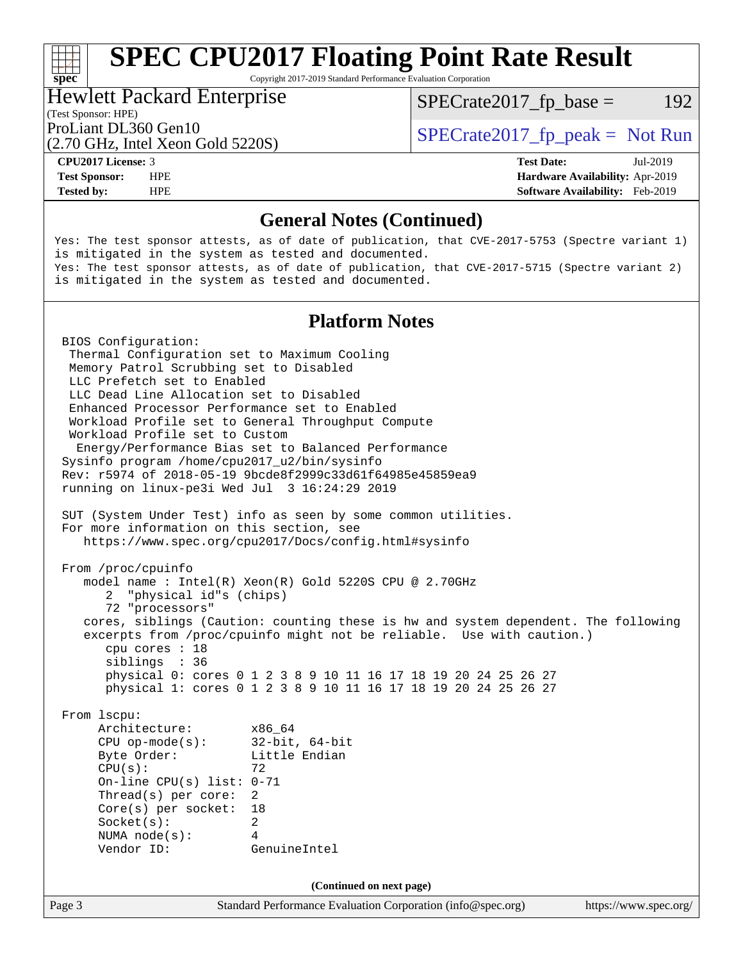Copyright 2017-2019 Standard Performance Evaluation Corporation

### Hewlett Packard Enterprise

 $SPECTate2017<sub>fr</sub> base = 192$ 

## (Test Sponsor: HPE)

(2.70 GHz, Intel Xeon Gold 5220S)

ProLiant DL360 Gen10  $SPECTA 5220S$   $SCHA 5220S$   $SCHB 5220S$ 

**[spec](http://www.spec.org/)**<sup>®</sup>

**[Tested by:](http://www.spec.org/auto/cpu2017/Docs/result-fields.html#Testedby)** HPE **[Software Availability:](http://www.spec.org/auto/cpu2017/Docs/result-fields.html#SoftwareAvailability)** Feb-2019

**[CPU2017 License:](http://www.spec.org/auto/cpu2017/Docs/result-fields.html#CPU2017License)** 3 **[Test Date:](http://www.spec.org/auto/cpu2017/Docs/result-fields.html#TestDate)** Jul-2019 **[Test Sponsor:](http://www.spec.org/auto/cpu2017/Docs/result-fields.html#TestSponsor)** HPE **[Hardware Availability:](http://www.spec.org/auto/cpu2017/Docs/result-fields.html#HardwareAvailability)** Apr-2019

## **[General Notes \(Continued\)](http://www.spec.org/auto/cpu2017/Docs/result-fields.html#GeneralNotes)**

Yes: The test sponsor attests, as of date of publication, that CVE-2017-5753 (Spectre variant 1) is mitigated in the system as tested and documented. Yes: The test sponsor attests, as of date of publication, that CVE-2017-5715 (Spectre variant 2) is mitigated in the system as tested and documented.

## **[Platform Notes](http://www.spec.org/auto/cpu2017/Docs/result-fields.html#PlatformNotes)**

Page 3 Standard Performance Evaluation Corporation [\(info@spec.org\)](mailto:info@spec.org) <https://www.spec.org/> BIOS Configuration: Thermal Configuration set to Maximum Cooling Memory Patrol Scrubbing set to Disabled LLC Prefetch set to Enabled LLC Dead Line Allocation set to Disabled Enhanced Processor Performance set to Enabled Workload Profile set to General Throughput Compute Workload Profile set to Custom Energy/Performance Bias set to Balanced Performance Sysinfo program /home/cpu2017\_u2/bin/sysinfo Rev: r5974 of 2018-05-19 9bcde8f2999c33d61f64985e45859ea9 running on linux-pe3i Wed Jul 3 16:24:29 2019 SUT (System Under Test) info as seen by some common utilities. For more information on this section, see <https://www.spec.org/cpu2017/Docs/config.html#sysinfo> From /proc/cpuinfo model name : Intel(R) Xeon(R) Gold 5220S CPU @ 2.70GHz 2 "physical id"s (chips) 72 "processors" cores, siblings (Caution: counting these is hw and system dependent. The following excerpts from /proc/cpuinfo might not be reliable. Use with caution.) cpu cores : 18 siblings : 36 physical 0: cores 0 1 2 3 8 9 10 11 16 17 18 19 20 24 25 26 27 physical 1: cores 0 1 2 3 8 9 10 11 16 17 18 19 20 24 25 26 27 From lscpu: Architecture: x86\_64 CPU op-mode(s): 32-bit, 64-bit Byte Order: Little Endian  $CPU(s):$  72 On-line CPU(s) list: 0-71 Thread(s) per core: 2 Core(s) per socket: 18 Socket(s): 2 NUMA node(s): 4 Vendor ID: GenuineIntel **(Continued on next page)**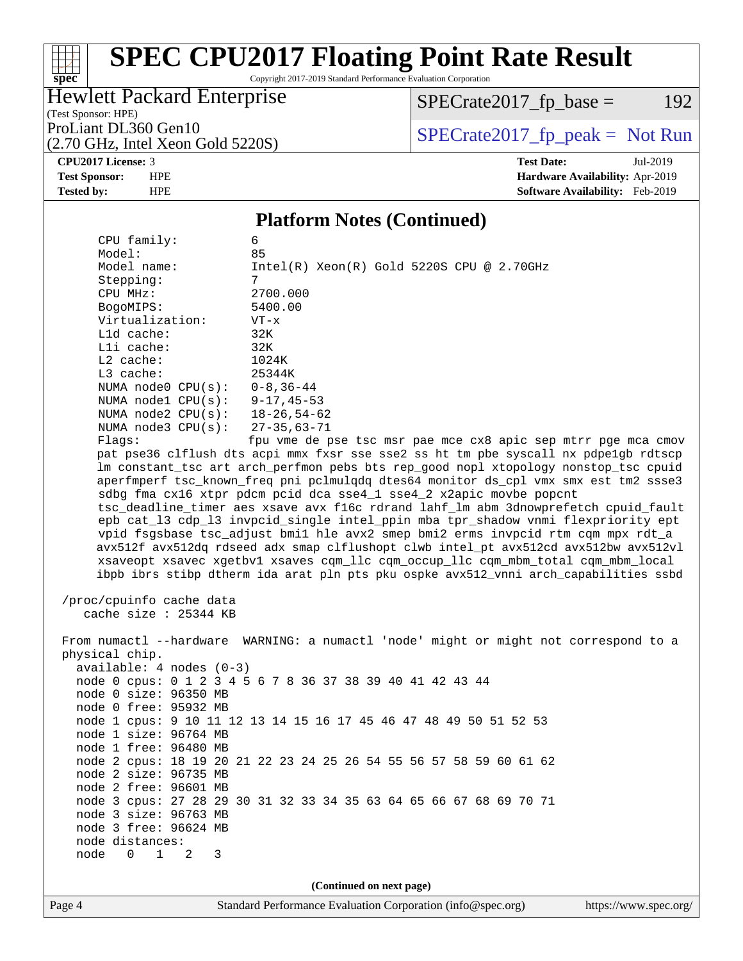Copyright 2017-2019 Standard Performance Evaluation Corporation

## Hewlett Packard Enterprise

 $SPECrate2017_fp\_base = 192$ 

(Test Sponsor: HPE) (2.70 GHz, Intel Xeon Gold 5220S)

ProLiant DL360 Gen10<br>(2.70 GHz, Intel Xeon Gold 52208) [SPECrate2017\\_fp\\_peak =](http://www.spec.org/auto/cpu2017/Docs/result-fields.html#SPECrate2017fppeak) Not Run

**[spec](http://www.spec.org/)**

 $+\ +$ 

**[CPU2017 License:](http://www.spec.org/auto/cpu2017/Docs/result-fields.html#CPU2017License)** 3 **[Test Date:](http://www.spec.org/auto/cpu2017/Docs/result-fields.html#TestDate)** Jul-2019 **[Test Sponsor:](http://www.spec.org/auto/cpu2017/Docs/result-fields.html#TestSponsor)** HPE **[Hardware Availability:](http://www.spec.org/auto/cpu2017/Docs/result-fields.html#HardwareAvailability)** Apr-2019 **[Tested by:](http://www.spec.org/auto/cpu2017/Docs/result-fields.html#Testedby)** HPE **[Software Availability:](http://www.spec.org/auto/cpu2017/Docs/result-fields.html#SoftwareAvailability)** Feb-2019

### **[Platform Notes \(Continued\)](http://www.spec.org/auto/cpu2017/Docs/result-fields.html#PlatformNotes)**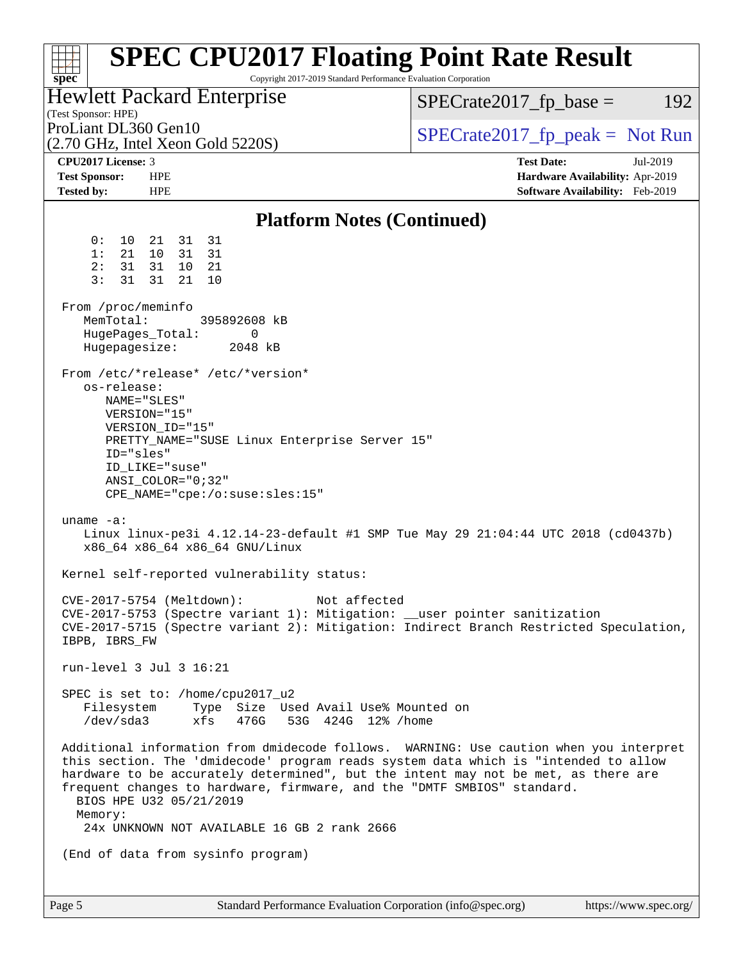| $spec^*$                                                                 | <b>SPEC CPU2017 Floating Point Rate Result</b><br>Copyright 2017-2019 Standard Performance Evaluation Corporation                                                                                                                                                                                                                                                                                                        |                                                                                                     |
|--------------------------------------------------------------------------|--------------------------------------------------------------------------------------------------------------------------------------------------------------------------------------------------------------------------------------------------------------------------------------------------------------------------------------------------------------------------------------------------------------------------|-----------------------------------------------------------------------------------------------------|
| (Test Sponsor: HPE)                                                      | Hewlett Packard Enterprise                                                                                                                                                                                                                                                                                                                                                                                               | $SPECrate2017_fp\_base =$<br>192                                                                    |
| ProLiant DL360 Gen10                                                     | $(2.70 \text{ GHz}, \text{Intel Xeon Gold } 5220\text{S})$                                                                                                                                                                                                                                                                                                                                                               | $SPECrate2017fr peak = Not Run$                                                                     |
| <b>CPU2017 License: 3</b><br><b>Test Sponsor:</b><br><b>Tested by:</b>   | <b>HPE</b><br><b>HPE</b>                                                                                                                                                                                                                                                                                                                                                                                                 | <b>Test Date:</b><br>Jul-2019<br>Hardware Availability: Apr-2019<br>Software Availability: Feb-2019 |
|                                                                          | <b>Platform Notes (Continued)</b>                                                                                                                                                                                                                                                                                                                                                                                        |                                                                                                     |
| 0 :<br>$10 \,$<br>1:<br>21<br>2:<br>31<br>3:<br>31<br>From /proc/meminfo | 31<br>31<br>21<br>10<br>31<br>31<br>31<br>21<br>10<br>31<br>21<br>10                                                                                                                                                                                                                                                                                                                                                     |                                                                                                     |
| MemTotal:<br>Hugepagesize:                                               | 395892608 kB<br>HugePages_Total:<br>0<br>2048 kB                                                                                                                                                                                                                                                                                                                                                                         |                                                                                                     |
| os-release:<br>ID="sles"                                                 | From /etc/*release* /etc/*version*<br>NAME="SLES"<br>VERSION="15"<br>VERSION_ID="15"<br>PRETTY_NAME="SUSE Linux Enterprise Server 15"<br>ID_LIKE="suse"<br>$ANSI$ _COLOR="0;32"<br>$CPE\_NAME='cpe://o:suse: sles:15"$                                                                                                                                                                                                   |                                                                                                     |
| uname $-a$ :                                                             | Linux linux-pe3i 4.12.14-23-default #1 SMP Tue May 29 21:04:44 UTC 2018 (cd0437b)<br>x86_64 x86_64 x86_64 GNU/Linux                                                                                                                                                                                                                                                                                                      |                                                                                                     |
|                                                                          | Kernel self-reported vulnerability status:                                                                                                                                                                                                                                                                                                                                                                               |                                                                                                     |
| IBPB, IBRS_FW                                                            | CVE-2017-5754 (Meltdown):<br>Not affected<br>CVE-2017-5753 (Spectre variant 1): Mitigation: __user pointer sanitization<br>CVE-2017-5715 (Spectre variant 2): Mitigation: Indirect Branch Restricted Speculation,                                                                                                                                                                                                        |                                                                                                     |
|                                                                          | run-level 3 Jul 3 16:21                                                                                                                                                                                                                                                                                                                                                                                                  |                                                                                                     |
|                                                                          | SPEC is set to: /home/cpu2017_u2<br>Filesystem Type Size Used Avail Use% Mounted on<br>$/\text{dev/sda3}$ xfs<br>476G 53G 424G 12% / home                                                                                                                                                                                                                                                                                |                                                                                                     |
| Memory:                                                                  | Additional information from dmidecode follows. WARNING: Use caution when you interpret<br>this section. The 'dmidecode' program reads system data which is "intended to allow<br>hardware to be accurately determined", but the intent may not be met, as there are<br>frequent changes to hardware, firmware, and the "DMTF SMBIOS" standard.<br>BIOS HPE U32 05/21/2019<br>24x UNKNOWN NOT AVAILABLE 16 GB 2 rank 2666 |                                                                                                     |
|                                                                          | (End of data from sysinfo program)                                                                                                                                                                                                                                                                                                                                                                                       |                                                                                                     |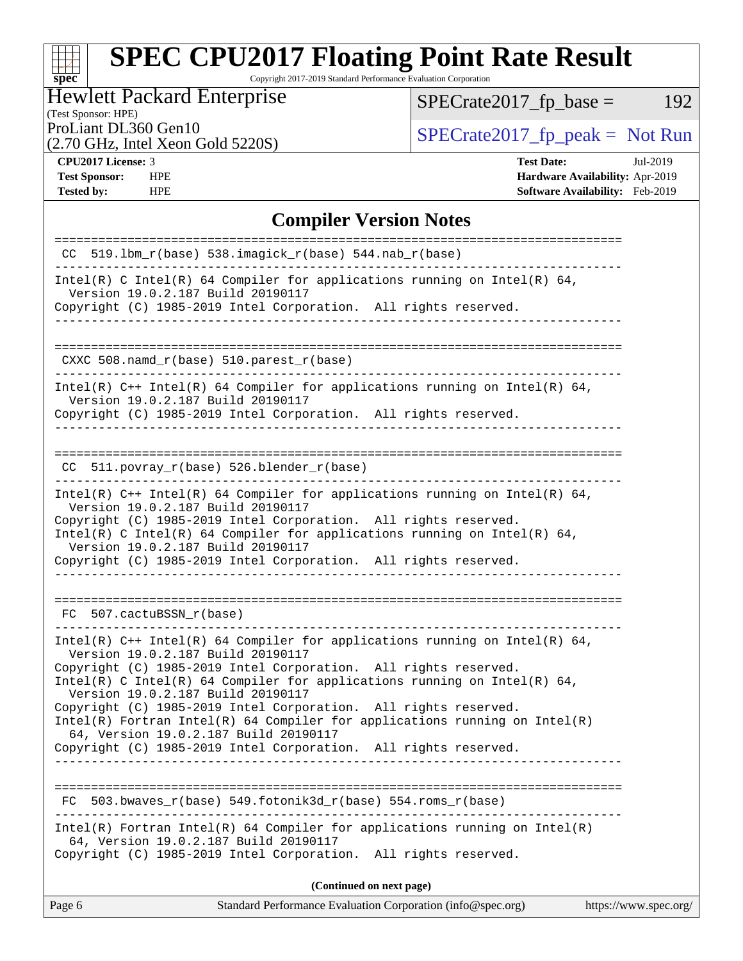Copyright 2017-2019 Standard Performance Evaluation Corporation

## Hewlett Packard Enterprise

(Test Sponsor: HPE)

 $SPECrate2017_fp\_base = 192$ 

(2.70 GHz, Intel Xeon Gold 5220S)

ProLiant DL360 Gen10<br>(2.70 GHz, Intel Xeon Gold 52208) [SPECrate2017\\_fp\\_peak =](http://www.spec.org/auto/cpu2017/Docs/result-fields.html#SPECrate2017fppeak) Not Run

**[spec](http://www.spec.org/)**

 $\pm$ 

**[CPU2017 License:](http://www.spec.org/auto/cpu2017/Docs/result-fields.html#CPU2017License)** 3 **[Test Date:](http://www.spec.org/auto/cpu2017/Docs/result-fields.html#TestDate)** Jul-2019 **[Test Sponsor:](http://www.spec.org/auto/cpu2017/Docs/result-fields.html#TestSponsor)** HPE **[Hardware Availability:](http://www.spec.org/auto/cpu2017/Docs/result-fields.html#HardwareAvailability)** Apr-2019 **[Tested by:](http://www.spec.org/auto/cpu2017/Docs/result-fields.html#Testedby)** HPE **[Software Availability:](http://www.spec.org/auto/cpu2017/Docs/result-fields.html#SoftwareAvailability)** Feb-2019

## **[Compiler Version Notes](http://www.spec.org/auto/cpu2017/Docs/result-fields.html#CompilerVersionNotes)**

| $CC$ 519.1bm_r(base) 538.imagick_r(base) 544.nab_r(base)                                                                                                                                                                                                                                                                                                                 |
|--------------------------------------------------------------------------------------------------------------------------------------------------------------------------------------------------------------------------------------------------------------------------------------------------------------------------------------------------------------------------|
| Intel(R) C Intel(R) 64 Compiler for applications running on Intel(R) 64,<br>Version 19.0.2.187 Build 20190117<br>Copyright (C) 1985-2019 Intel Corporation. All rights reserved.                                                                                                                                                                                         |
|                                                                                                                                                                                                                                                                                                                                                                          |
| CXXC 508.namd_r(base) 510.parest_r(base)                                                                                                                                                                                                                                                                                                                                 |
| Intel(R) $C++$ Intel(R) 64 Compiler for applications running on Intel(R) 64,<br>Version 19.0.2.187 Build 20190117<br>Copyright (C) 1985-2019 Intel Corporation. All rights reserved.                                                                                                                                                                                     |
| $CC$ 511.povray $r(base)$ 526.blender $r(base)$                                                                                                                                                                                                                                                                                                                          |
| Intel(R) $C++$ Intel(R) 64 Compiler for applications running on Intel(R) 64,<br>Version 19.0.2.187 Build 20190117<br>Copyright (C) 1985-2019 Intel Corporation. All rights reserved.<br>Intel(R) C Intel(R) 64 Compiler for applications running on Intel(R) 64,<br>Version 19.0.2.187 Build 20190117<br>Copyright (C) 1985-2019 Intel Corporation. All rights reserved. |
|                                                                                                                                                                                                                                                                                                                                                                          |
| FC 507.cactuBSSN r(base)                                                                                                                                                                                                                                                                                                                                                 |
| Intel(R) $C++$ Intel(R) 64 Compiler for applications running on Intel(R) 64,<br>Version 19.0.2.187 Build 20190117                                                                                                                                                                                                                                                        |
| Copyright (C) 1985-2019 Intel Corporation. All rights reserved.<br>Intel(R) C Intel(R) 64 Compiler for applications running on Intel(R) 64,<br>Version 19.0.2.187 Build 20190117                                                                                                                                                                                         |
| Copyright (C) 1985-2019 Intel Corporation. All rights reserved.<br>$Intel(R)$ Fortran Intel(R) 64 Compiler for applications running on Intel(R)<br>64, Version 19.0.2.187 Build 20190117                                                                                                                                                                                 |
| Copyright (C) 1985-2019 Intel Corporation. All rights reserved.                                                                                                                                                                                                                                                                                                          |
| $503.bwaves_r(base) 549.fotonik3d_r(base) 554.rows_r(base)$<br>FC                                                                                                                                                                                                                                                                                                        |
| $Intel(R)$ Fortran Intel(R) 64 Compiler for applications running on Intel(R)<br>64, Version 19.0.2.187 Build 20190117<br>Copyright (C) 1985-2019 Intel Corporation. All rights reserved.                                                                                                                                                                                 |
| (Continued on next page)                                                                                                                                                                                                                                                                                                                                                 |
|                                                                                                                                                                                                                                                                                                                                                                          |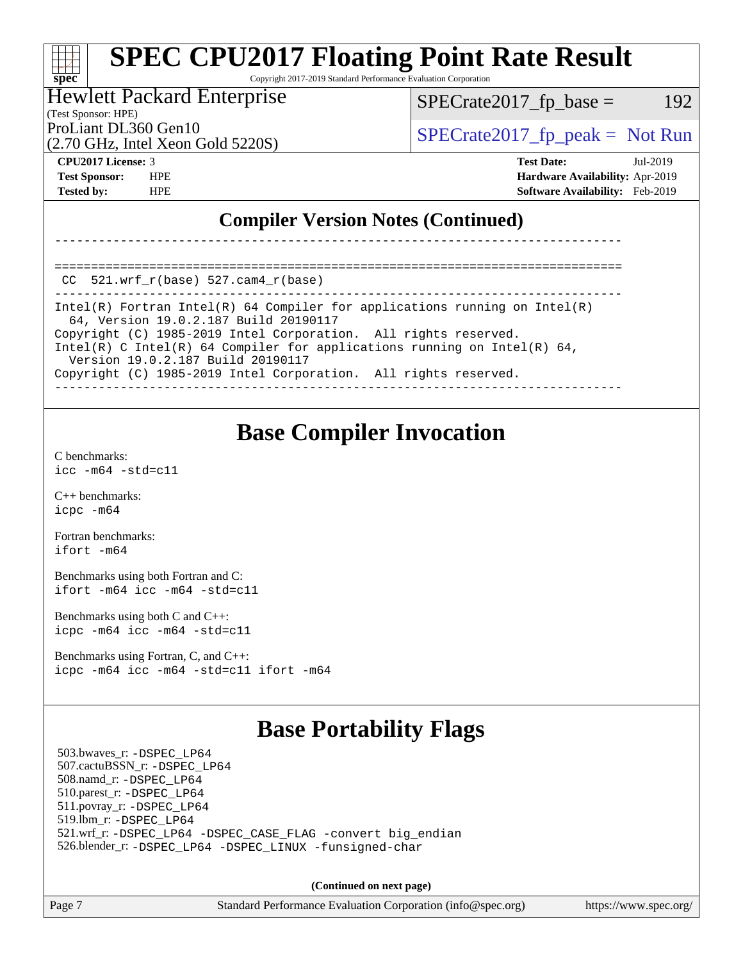Copyright 2017-2019 Standard Performance Evaluation Corporation

### Hewlett Packard Enterprise

(Test Sponsor: HPE)

 $SPECTate2017<sub>fr</sub> base = 192$ 

(2.70 GHz, Intel Xeon Gold 5220S)

ProLiant DL360 Gen10  $SPECrate2017$  fp\_peak = Not Run

==============================================================================

**[spec](http://www.spec.org/)**

**[CPU2017 License:](http://www.spec.org/auto/cpu2017/Docs/result-fields.html#CPU2017License)** 3 **[Test Date:](http://www.spec.org/auto/cpu2017/Docs/result-fields.html#TestDate)** Jul-2019 **[Test Sponsor:](http://www.spec.org/auto/cpu2017/Docs/result-fields.html#TestSponsor)** HPE **[Hardware Availability:](http://www.spec.org/auto/cpu2017/Docs/result-fields.html#HardwareAvailability)** Apr-2019 **[Tested by:](http://www.spec.org/auto/cpu2017/Docs/result-fields.html#Testedby)** HPE **[Software Availability:](http://www.spec.org/auto/cpu2017/Docs/result-fields.html#SoftwareAvailability)** Feb-2019

## **[Compiler Version Notes \(Continued\)](http://www.spec.org/auto/cpu2017/Docs/result-fields.html#CompilerVersionNotes)**

|  | CC $521.$ wrf r(base) 527.cam4 r(base) |  |
|--|----------------------------------------|--|

------------------------------------------------------------------------------ Intel(R) Fortran Intel(R) 64 Compiler for applications running on Intel(R) 64, Version 19.0.2.187 Build 20190117 Copyright (C) 1985-2019 Intel Corporation. All rights reserved. Intel(R) C Intel(R) 64 Compiler for applications running on Intel(R) 64, Version 19.0.2.187 Build 20190117 Copyright (C) 1985-2019 Intel Corporation. All rights reserved. ------------------------------------------------------------------------------

------------------------------------------------------------------------------

## **[Base Compiler Invocation](http://www.spec.org/auto/cpu2017/Docs/result-fields.html#BaseCompilerInvocation)**

[C benchmarks](http://www.spec.org/auto/cpu2017/Docs/result-fields.html#Cbenchmarks): [icc -m64 -std=c11](http://www.spec.org/cpu2017/results/res2019q3/cpu2017-20190723-16353.flags.html#user_CCbase_intel_icc_64bit_c11_33ee0cdaae7deeeab2a9725423ba97205ce30f63b9926c2519791662299b76a0318f32ddfffdc46587804de3178b4f9328c46fa7c2b0cd779d7a61945c91cd35)

[C++ benchmarks:](http://www.spec.org/auto/cpu2017/Docs/result-fields.html#CXXbenchmarks) [icpc -m64](http://www.spec.org/cpu2017/results/res2019q3/cpu2017-20190723-16353.flags.html#user_CXXbase_intel_icpc_64bit_4ecb2543ae3f1412ef961e0650ca070fec7b7afdcd6ed48761b84423119d1bf6bdf5cad15b44d48e7256388bc77273b966e5eb805aefd121eb22e9299b2ec9d9)

[Fortran benchmarks](http://www.spec.org/auto/cpu2017/Docs/result-fields.html#Fortranbenchmarks): [ifort -m64](http://www.spec.org/cpu2017/results/res2019q3/cpu2017-20190723-16353.flags.html#user_FCbase_intel_ifort_64bit_24f2bb282fbaeffd6157abe4f878425411749daecae9a33200eee2bee2fe76f3b89351d69a8130dd5949958ce389cf37ff59a95e7a40d588e8d3a57e0c3fd751)

[Benchmarks using both Fortran and C](http://www.spec.org/auto/cpu2017/Docs/result-fields.html#BenchmarksusingbothFortranandC): [ifort -m64](http://www.spec.org/cpu2017/results/res2019q3/cpu2017-20190723-16353.flags.html#user_CC_FCbase_intel_ifort_64bit_24f2bb282fbaeffd6157abe4f878425411749daecae9a33200eee2bee2fe76f3b89351d69a8130dd5949958ce389cf37ff59a95e7a40d588e8d3a57e0c3fd751) [icc -m64 -std=c11](http://www.spec.org/cpu2017/results/res2019q3/cpu2017-20190723-16353.flags.html#user_CC_FCbase_intel_icc_64bit_c11_33ee0cdaae7deeeab2a9725423ba97205ce30f63b9926c2519791662299b76a0318f32ddfffdc46587804de3178b4f9328c46fa7c2b0cd779d7a61945c91cd35)

[Benchmarks using both C and C++](http://www.spec.org/auto/cpu2017/Docs/result-fields.html#BenchmarksusingbothCandCXX): [icpc -m64](http://www.spec.org/cpu2017/results/res2019q3/cpu2017-20190723-16353.flags.html#user_CC_CXXbase_intel_icpc_64bit_4ecb2543ae3f1412ef961e0650ca070fec7b7afdcd6ed48761b84423119d1bf6bdf5cad15b44d48e7256388bc77273b966e5eb805aefd121eb22e9299b2ec9d9) [icc -m64 -std=c11](http://www.spec.org/cpu2017/results/res2019q3/cpu2017-20190723-16353.flags.html#user_CC_CXXbase_intel_icc_64bit_c11_33ee0cdaae7deeeab2a9725423ba97205ce30f63b9926c2519791662299b76a0318f32ddfffdc46587804de3178b4f9328c46fa7c2b0cd779d7a61945c91cd35)

[Benchmarks using Fortran, C, and C++:](http://www.spec.org/auto/cpu2017/Docs/result-fields.html#BenchmarksusingFortranCandCXX) [icpc -m64](http://www.spec.org/cpu2017/results/res2019q3/cpu2017-20190723-16353.flags.html#user_CC_CXX_FCbase_intel_icpc_64bit_4ecb2543ae3f1412ef961e0650ca070fec7b7afdcd6ed48761b84423119d1bf6bdf5cad15b44d48e7256388bc77273b966e5eb805aefd121eb22e9299b2ec9d9) [icc -m64 -std=c11](http://www.spec.org/cpu2017/results/res2019q3/cpu2017-20190723-16353.flags.html#user_CC_CXX_FCbase_intel_icc_64bit_c11_33ee0cdaae7deeeab2a9725423ba97205ce30f63b9926c2519791662299b76a0318f32ddfffdc46587804de3178b4f9328c46fa7c2b0cd779d7a61945c91cd35) [ifort -m64](http://www.spec.org/cpu2017/results/res2019q3/cpu2017-20190723-16353.flags.html#user_CC_CXX_FCbase_intel_ifort_64bit_24f2bb282fbaeffd6157abe4f878425411749daecae9a33200eee2bee2fe76f3b89351d69a8130dd5949958ce389cf37ff59a95e7a40d588e8d3a57e0c3fd751)

## **[Base Portability Flags](http://www.spec.org/auto/cpu2017/Docs/result-fields.html#BasePortabilityFlags)**

 503.bwaves\_r: [-DSPEC\\_LP64](http://www.spec.org/cpu2017/results/res2019q3/cpu2017-20190723-16353.flags.html#suite_basePORTABILITY503_bwaves_r_DSPEC_LP64) 507.cactuBSSN\_r: [-DSPEC\\_LP64](http://www.spec.org/cpu2017/results/res2019q3/cpu2017-20190723-16353.flags.html#suite_basePORTABILITY507_cactuBSSN_r_DSPEC_LP64) 508.namd\_r: [-DSPEC\\_LP64](http://www.spec.org/cpu2017/results/res2019q3/cpu2017-20190723-16353.flags.html#suite_basePORTABILITY508_namd_r_DSPEC_LP64) 510.parest\_r: [-DSPEC\\_LP64](http://www.spec.org/cpu2017/results/res2019q3/cpu2017-20190723-16353.flags.html#suite_basePORTABILITY510_parest_r_DSPEC_LP64) 511.povray\_r: [-DSPEC\\_LP64](http://www.spec.org/cpu2017/results/res2019q3/cpu2017-20190723-16353.flags.html#suite_basePORTABILITY511_povray_r_DSPEC_LP64) 519.lbm\_r: [-DSPEC\\_LP64](http://www.spec.org/cpu2017/results/res2019q3/cpu2017-20190723-16353.flags.html#suite_basePORTABILITY519_lbm_r_DSPEC_LP64) 521.wrf\_r: [-DSPEC\\_LP64](http://www.spec.org/cpu2017/results/res2019q3/cpu2017-20190723-16353.flags.html#suite_basePORTABILITY521_wrf_r_DSPEC_LP64) [-DSPEC\\_CASE\\_FLAG](http://www.spec.org/cpu2017/results/res2019q3/cpu2017-20190723-16353.flags.html#b521.wrf_r_baseCPORTABILITY_DSPEC_CASE_FLAG) [-convert big\\_endian](http://www.spec.org/cpu2017/results/res2019q3/cpu2017-20190723-16353.flags.html#user_baseFPORTABILITY521_wrf_r_convert_big_endian_c3194028bc08c63ac5d04de18c48ce6d347e4e562e8892b8bdbdc0214820426deb8554edfa529a3fb25a586e65a3d812c835984020483e7e73212c4d31a38223) 526.blender\_r: [-DSPEC\\_LP64](http://www.spec.org/cpu2017/results/res2019q3/cpu2017-20190723-16353.flags.html#suite_basePORTABILITY526_blender_r_DSPEC_LP64) [-DSPEC\\_LINUX](http://www.spec.org/cpu2017/results/res2019q3/cpu2017-20190723-16353.flags.html#b526.blender_r_baseCPORTABILITY_DSPEC_LINUX) [-funsigned-char](http://www.spec.org/cpu2017/results/res2019q3/cpu2017-20190723-16353.flags.html#user_baseCPORTABILITY526_blender_r_force_uchar_40c60f00ab013830e2dd6774aeded3ff59883ba5a1fc5fc14077f794d777847726e2a5858cbc7672e36e1b067e7e5c1d9a74f7176df07886a243d7cc18edfe67)

**(Continued on next page)**

Page 7 Standard Performance Evaluation Corporation [\(info@spec.org\)](mailto:info@spec.org) <https://www.spec.org/>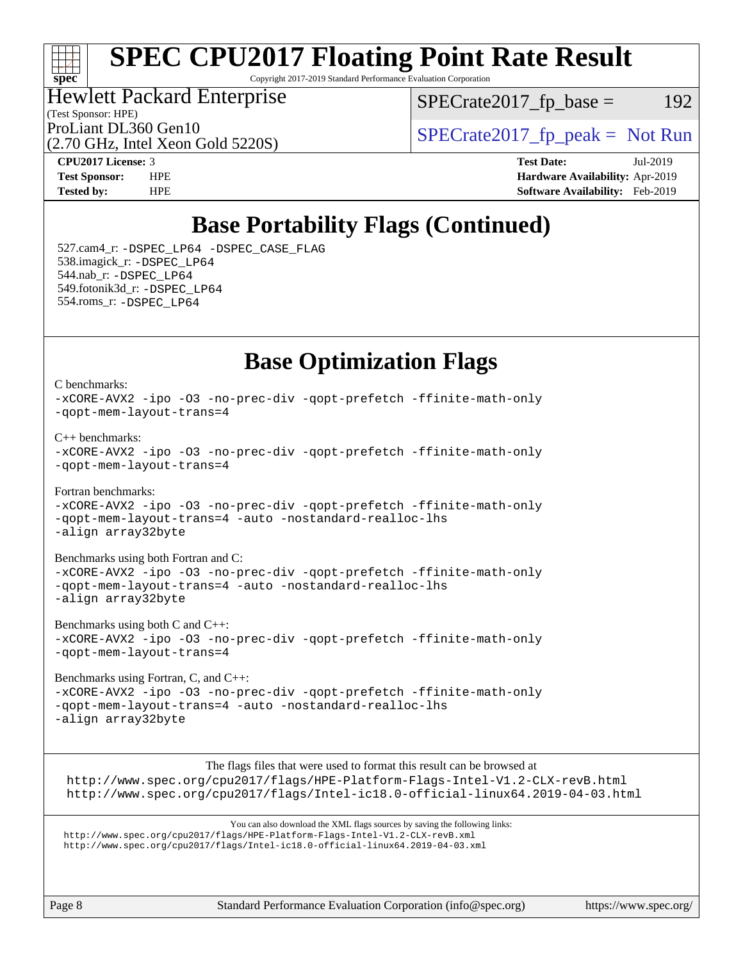## ti h **[spec](http://www.spec.org/)**

# **[SPEC CPU2017 Floating Point Rate Result](http://www.spec.org/auto/cpu2017/Docs/result-fields.html#SPECCPU2017FloatingPointRateResult)**

Copyright 2017-2019 Standard Performance Evaluation Corporation

### (Test Sponsor: HPE) Hewlett Packard Enterprise

 $SPECTate2017<sub>fr</sub> base = 192$ 

(2.70 GHz, Intel Xeon Gold 5220S)

ProLiant DL360 Gen10  $SPECrate2017$  fp\_peak = Not Run

**[CPU2017 License:](http://www.spec.org/auto/cpu2017/Docs/result-fields.html#CPU2017License)** 3 **[Test Date:](http://www.spec.org/auto/cpu2017/Docs/result-fields.html#TestDate)** Jul-2019 **[Test Sponsor:](http://www.spec.org/auto/cpu2017/Docs/result-fields.html#TestSponsor)** HPE **[Hardware Availability:](http://www.spec.org/auto/cpu2017/Docs/result-fields.html#HardwareAvailability)** Apr-2019 **[Tested by:](http://www.spec.org/auto/cpu2017/Docs/result-fields.html#Testedby)** HPE **[Software Availability:](http://www.spec.org/auto/cpu2017/Docs/result-fields.html#SoftwareAvailability)** Feb-2019

## **[Base Portability Flags \(Continued\)](http://www.spec.org/auto/cpu2017/Docs/result-fields.html#BasePortabilityFlags)**

 527.cam4\_r: [-DSPEC\\_LP64](http://www.spec.org/cpu2017/results/res2019q3/cpu2017-20190723-16353.flags.html#suite_basePORTABILITY527_cam4_r_DSPEC_LP64) [-DSPEC\\_CASE\\_FLAG](http://www.spec.org/cpu2017/results/res2019q3/cpu2017-20190723-16353.flags.html#b527.cam4_r_baseCPORTABILITY_DSPEC_CASE_FLAG) 538.imagick\_r: [-DSPEC\\_LP64](http://www.spec.org/cpu2017/results/res2019q3/cpu2017-20190723-16353.flags.html#suite_basePORTABILITY538_imagick_r_DSPEC_LP64) 544.nab\_r: [-DSPEC\\_LP64](http://www.spec.org/cpu2017/results/res2019q3/cpu2017-20190723-16353.flags.html#suite_basePORTABILITY544_nab_r_DSPEC_LP64) 549.fotonik3d\_r: [-DSPEC\\_LP64](http://www.spec.org/cpu2017/results/res2019q3/cpu2017-20190723-16353.flags.html#suite_basePORTABILITY549_fotonik3d_r_DSPEC_LP64) 554.roms\_r: [-DSPEC\\_LP64](http://www.spec.org/cpu2017/results/res2019q3/cpu2017-20190723-16353.flags.html#suite_basePORTABILITY554_roms_r_DSPEC_LP64)

## **[Base Optimization Flags](http://www.spec.org/auto/cpu2017/Docs/result-fields.html#BaseOptimizationFlags)**

[C benchmarks](http://www.spec.org/auto/cpu2017/Docs/result-fields.html#Cbenchmarks): [-xCORE-AVX2](http://www.spec.org/cpu2017/results/res2019q3/cpu2017-20190723-16353.flags.html#user_CCbase_f-xCORE-AVX2) [-ipo](http://www.spec.org/cpu2017/results/res2019q3/cpu2017-20190723-16353.flags.html#user_CCbase_f-ipo) [-O3](http://www.spec.org/cpu2017/results/res2019q3/cpu2017-20190723-16353.flags.html#user_CCbase_f-O3) [-no-prec-div](http://www.spec.org/cpu2017/results/res2019q3/cpu2017-20190723-16353.flags.html#user_CCbase_f-no-prec-div) [-qopt-prefetch](http://www.spec.org/cpu2017/results/res2019q3/cpu2017-20190723-16353.flags.html#user_CCbase_f-qopt-prefetch) [-ffinite-math-only](http://www.spec.org/cpu2017/results/res2019q3/cpu2017-20190723-16353.flags.html#user_CCbase_f_finite_math_only_cb91587bd2077682c4b38af759c288ed7c732db004271a9512da14a4f8007909a5f1427ecbf1a0fb78ff2a814402c6114ac565ca162485bbcae155b5e4258871) [-qopt-mem-layout-trans=4](http://www.spec.org/cpu2017/results/res2019q3/cpu2017-20190723-16353.flags.html#user_CCbase_f-qopt-mem-layout-trans_fa39e755916c150a61361b7846f310bcdf6f04e385ef281cadf3647acec3f0ae266d1a1d22d972a7087a248fd4e6ca390a3634700869573d231a252c784941a8) [C++ benchmarks:](http://www.spec.org/auto/cpu2017/Docs/result-fields.html#CXXbenchmarks) [-xCORE-AVX2](http://www.spec.org/cpu2017/results/res2019q3/cpu2017-20190723-16353.flags.html#user_CXXbase_f-xCORE-AVX2) [-ipo](http://www.spec.org/cpu2017/results/res2019q3/cpu2017-20190723-16353.flags.html#user_CXXbase_f-ipo) [-O3](http://www.spec.org/cpu2017/results/res2019q3/cpu2017-20190723-16353.flags.html#user_CXXbase_f-O3) [-no-prec-div](http://www.spec.org/cpu2017/results/res2019q3/cpu2017-20190723-16353.flags.html#user_CXXbase_f-no-prec-div) [-qopt-prefetch](http://www.spec.org/cpu2017/results/res2019q3/cpu2017-20190723-16353.flags.html#user_CXXbase_f-qopt-prefetch) [-ffinite-math-only](http://www.spec.org/cpu2017/results/res2019q3/cpu2017-20190723-16353.flags.html#user_CXXbase_f_finite_math_only_cb91587bd2077682c4b38af759c288ed7c732db004271a9512da14a4f8007909a5f1427ecbf1a0fb78ff2a814402c6114ac565ca162485bbcae155b5e4258871) [-qopt-mem-layout-trans=4](http://www.spec.org/cpu2017/results/res2019q3/cpu2017-20190723-16353.flags.html#user_CXXbase_f-qopt-mem-layout-trans_fa39e755916c150a61361b7846f310bcdf6f04e385ef281cadf3647acec3f0ae266d1a1d22d972a7087a248fd4e6ca390a3634700869573d231a252c784941a8) [Fortran benchmarks](http://www.spec.org/auto/cpu2017/Docs/result-fields.html#Fortranbenchmarks): [-xCORE-AVX2](http://www.spec.org/cpu2017/results/res2019q3/cpu2017-20190723-16353.flags.html#user_FCbase_f-xCORE-AVX2) [-ipo](http://www.spec.org/cpu2017/results/res2019q3/cpu2017-20190723-16353.flags.html#user_FCbase_f-ipo) [-O3](http://www.spec.org/cpu2017/results/res2019q3/cpu2017-20190723-16353.flags.html#user_FCbase_f-O3) [-no-prec-div](http://www.spec.org/cpu2017/results/res2019q3/cpu2017-20190723-16353.flags.html#user_FCbase_f-no-prec-div) [-qopt-prefetch](http://www.spec.org/cpu2017/results/res2019q3/cpu2017-20190723-16353.flags.html#user_FCbase_f-qopt-prefetch) [-ffinite-math-only](http://www.spec.org/cpu2017/results/res2019q3/cpu2017-20190723-16353.flags.html#user_FCbase_f_finite_math_only_cb91587bd2077682c4b38af759c288ed7c732db004271a9512da14a4f8007909a5f1427ecbf1a0fb78ff2a814402c6114ac565ca162485bbcae155b5e4258871) [-qopt-mem-layout-trans=4](http://www.spec.org/cpu2017/results/res2019q3/cpu2017-20190723-16353.flags.html#user_FCbase_f-qopt-mem-layout-trans_fa39e755916c150a61361b7846f310bcdf6f04e385ef281cadf3647acec3f0ae266d1a1d22d972a7087a248fd4e6ca390a3634700869573d231a252c784941a8) [-auto](http://www.spec.org/cpu2017/results/res2019q3/cpu2017-20190723-16353.flags.html#user_FCbase_f-auto) [-nostandard-realloc-lhs](http://www.spec.org/cpu2017/results/res2019q3/cpu2017-20190723-16353.flags.html#user_FCbase_f_2003_std_realloc_82b4557e90729c0f113870c07e44d33d6f5a304b4f63d4c15d2d0f1fab99f5daaed73bdb9275d9ae411527f28b936061aa8b9c8f2d63842963b95c9dd6426b8a) [-align array32byte](http://www.spec.org/cpu2017/results/res2019q3/cpu2017-20190723-16353.flags.html#user_FCbase_align_array32byte_b982fe038af199962ba9a80c053b8342c548c85b40b8e86eb3cc33dee0d7986a4af373ac2d51c3f7cf710a18d62fdce2948f201cd044323541f22fc0fffc51b6) [Benchmarks using both Fortran and C](http://www.spec.org/auto/cpu2017/Docs/result-fields.html#BenchmarksusingbothFortranandC): [-xCORE-AVX2](http://www.spec.org/cpu2017/results/res2019q3/cpu2017-20190723-16353.flags.html#user_CC_FCbase_f-xCORE-AVX2) [-ipo](http://www.spec.org/cpu2017/results/res2019q3/cpu2017-20190723-16353.flags.html#user_CC_FCbase_f-ipo) [-O3](http://www.spec.org/cpu2017/results/res2019q3/cpu2017-20190723-16353.flags.html#user_CC_FCbase_f-O3) [-no-prec-div](http://www.spec.org/cpu2017/results/res2019q3/cpu2017-20190723-16353.flags.html#user_CC_FCbase_f-no-prec-div) [-qopt-prefetch](http://www.spec.org/cpu2017/results/res2019q3/cpu2017-20190723-16353.flags.html#user_CC_FCbase_f-qopt-prefetch) [-ffinite-math-only](http://www.spec.org/cpu2017/results/res2019q3/cpu2017-20190723-16353.flags.html#user_CC_FCbase_f_finite_math_only_cb91587bd2077682c4b38af759c288ed7c732db004271a9512da14a4f8007909a5f1427ecbf1a0fb78ff2a814402c6114ac565ca162485bbcae155b5e4258871) [-qopt-mem-layout-trans=4](http://www.spec.org/cpu2017/results/res2019q3/cpu2017-20190723-16353.flags.html#user_CC_FCbase_f-qopt-mem-layout-trans_fa39e755916c150a61361b7846f310bcdf6f04e385ef281cadf3647acec3f0ae266d1a1d22d972a7087a248fd4e6ca390a3634700869573d231a252c784941a8) [-auto](http://www.spec.org/cpu2017/results/res2019q3/cpu2017-20190723-16353.flags.html#user_CC_FCbase_f-auto) [-nostandard-realloc-lhs](http://www.spec.org/cpu2017/results/res2019q3/cpu2017-20190723-16353.flags.html#user_CC_FCbase_f_2003_std_realloc_82b4557e90729c0f113870c07e44d33d6f5a304b4f63d4c15d2d0f1fab99f5daaed73bdb9275d9ae411527f28b936061aa8b9c8f2d63842963b95c9dd6426b8a) [-align array32byte](http://www.spec.org/cpu2017/results/res2019q3/cpu2017-20190723-16353.flags.html#user_CC_FCbase_align_array32byte_b982fe038af199962ba9a80c053b8342c548c85b40b8e86eb3cc33dee0d7986a4af373ac2d51c3f7cf710a18d62fdce2948f201cd044323541f22fc0fffc51b6)

[Benchmarks using both C and C++](http://www.spec.org/auto/cpu2017/Docs/result-fields.html#BenchmarksusingbothCandCXX): [-xCORE-AVX2](http://www.spec.org/cpu2017/results/res2019q3/cpu2017-20190723-16353.flags.html#user_CC_CXXbase_f-xCORE-AVX2) [-ipo](http://www.spec.org/cpu2017/results/res2019q3/cpu2017-20190723-16353.flags.html#user_CC_CXXbase_f-ipo) [-O3](http://www.spec.org/cpu2017/results/res2019q3/cpu2017-20190723-16353.flags.html#user_CC_CXXbase_f-O3) [-no-prec-div](http://www.spec.org/cpu2017/results/res2019q3/cpu2017-20190723-16353.flags.html#user_CC_CXXbase_f-no-prec-div) [-qopt-prefetch](http://www.spec.org/cpu2017/results/res2019q3/cpu2017-20190723-16353.flags.html#user_CC_CXXbase_f-qopt-prefetch) [-ffinite-math-only](http://www.spec.org/cpu2017/results/res2019q3/cpu2017-20190723-16353.flags.html#user_CC_CXXbase_f_finite_math_only_cb91587bd2077682c4b38af759c288ed7c732db004271a9512da14a4f8007909a5f1427ecbf1a0fb78ff2a814402c6114ac565ca162485bbcae155b5e4258871) [-qopt-mem-layout-trans=4](http://www.spec.org/cpu2017/results/res2019q3/cpu2017-20190723-16353.flags.html#user_CC_CXXbase_f-qopt-mem-layout-trans_fa39e755916c150a61361b7846f310bcdf6f04e385ef281cadf3647acec3f0ae266d1a1d22d972a7087a248fd4e6ca390a3634700869573d231a252c784941a8)

[Benchmarks using Fortran, C, and C++:](http://www.spec.org/auto/cpu2017/Docs/result-fields.html#BenchmarksusingFortranCandCXX) [-xCORE-AVX2](http://www.spec.org/cpu2017/results/res2019q3/cpu2017-20190723-16353.flags.html#user_CC_CXX_FCbase_f-xCORE-AVX2) [-ipo](http://www.spec.org/cpu2017/results/res2019q3/cpu2017-20190723-16353.flags.html#user_CC_CXX_FCbase_f-ipo) [-O3](http://www.spec.org/cpu2017/results/res2019q3/cpu2017-20190723-16353.flags.html#user_CC_CXX_FCbase_f-O3) [-no-prec-div](http://www.spec.org/cpu2017/results/res2019q3/cpu2017-20190723-16353.flags.html#user_CC_CXX_FCbase_f-no-prec-div) [-qopt-prefetch](http://www.spec.org/cpu2017/results/res2019q3/cpu2017-20190723-16353.flags.html#user_CC_CXX_FCbase_f-qopt-prefetch) [-ffinite-math-only](http://www.spec.org/cpu2017/results/res2019q3/cpu2017-20190723-16353.flags.html#user_CC_CXX_FCbase_f_finite_math_only_cb91587bd2077682c4b38af759c288ed7c732db004271a9512da14a4f8007909a5f1427ecbf1a0fb78ff2a814402c6114ac565ca162485bbcae155b5e4258871) [-qopt-mem-layout-trans=4](http://www.spec.org/cpu2017/results/res2019q3/cpu2017-20190723-16353.flags.html#user_CC_CXX_FCbase_f-qopt-mem-layout-trans_fa39e755916c150a61361b7846f310bcdf6f04e385ef281cadf3647acec3f0ae266d1a1d22d972a7087a248fd4e6ca390a3634700869573d231a252c784941a8) [-auto](http://www.spec.org/cpu2017/results/res2019q3/cpu2017-20190723-16353.flags.html#user_CC_CXX_FCbase_f-auto) [-nostandard-realloc-lhs](http://www.spec.org/cpu2017/results/res2019q3/cpu2017-20190723-16353.flags.html#user_CC_CXX_FCbase_f_2003_std_realloc_82b4557e90729c0f113870c07e44d33d6f5a304b4f63d4c15d2d0f1fab99f5daaed73bdb9275d9ae411527f28b936061aa8b9c8f2d63842963b95c9dd6426b8a) [-align array32byte](http://www.spec.org/cpu2017/results/res2019q3/cpu2017-20190723-16353.flags.html#user_CC_CXX_FCbase_align_array32byte_b982fe038af199962ba9a80c053b8342c548c85b40b8e86eb3cc33dee0d7986a4af373ac2d51c3f7cf710a18d62fdce2948f201cd044323541f22fc0fffc51b6)

The flags files that were used to format this result can be browsed at <http://www.spec.org/cpu2017/flags/HPE-Platform-Flags-Intel-V1.2-CLX-revB.html> <http://www.spec.org/cpu2017/flags/Intel-ic18.0-official-linux64.2019-04-03.html>

You can also download the XML flags sources by saving the following links: <http://www.spec.org/cpu2017/flags/HPE-Platform-Flags-Intel-V1.2-CLX-revB.xml> <http://www.spec.org/cpu2017/flags/Intel-ic18.0-official-linux64.2019-04-03.xml>